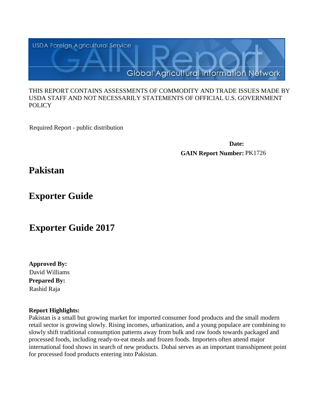

#### THIS REPORT CONTAINS ASSESSMENTS OF COMMODITY AND TRADE ISSUES MADE BY USDA STAFF AND NOT NECESSARILY STATEMENTS OF OFFICIAL U.S. GOVERNMENT **POLICY**

Required Report - public distribution

**Date: GAIN Report Number:** PK1726

**Pakistan**

**Exporter Guide**

# **Exporter Guide 2017**

**Approved By: Prepared By:** Rashid Raja David Williams

# **Report Highlights:**

Pakistan is a small but growing market for imported consumer food products and the small modern retail sector is growing slowly. Rising incomes, urbanization, and a young populace are combining to slowly shift traditional consumption patterns away from bulk and raw foods towards packaged and processed foods, including ready-to-eat meals and frozen foods. Importers often attend major international food shows in search of new products. Dubai serves as an important transshipment point for processed food products entering into Pakistan.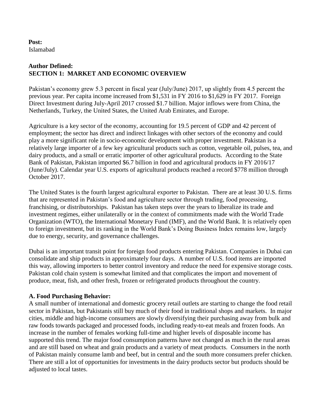## **Post:** Islamabad

# **Author Defined: SECTION 1: MARKET AND ECONOMIC OVERVIEW**

Pakistan's economy grew 5.3 percent in fiscal year (July/June) 2017, up slightly from 4.5 percent the previous year. Per capita income increased from \$1,531 in FY 2016 to \$1,629 in FY 2017. Foreign Direct Investment during July-April 2017 crossed \$1.7 billion. Major inflows were from China, the Netherlands, Turkey, the United States, the United Arab Emirates, and Europe.

Agriculture is a key sector of the economy, accounting for 19.5 percent of GDP and 42 percent of employment; the sector has direct and indirect linkages with other sectors of the economy and could play a more significant role in socio-economic development with proper investment. Pakistan is a relatively large importer of a few key agricultural products such as cotton, vegetable oil, pulses, tea, and dairy products, and a small or erratic importer of other agricultural products. According to the State Bank of Pakistan, Pakistan imported \$6.7 billion in food and agricultural products in FY 2016/17 (June/July). Calendar year U.S. exports of agricultural products reached a record \$778 million through October 2017.

The United States is the fourth largest agricultural exporter to Pakistan. There are at least 30 U.S. firms that are represented in Pakistan's food and agriculture sector through trading, food processing, franchising, or distributorships. Pakistan has taken steps over the years to liberalize its trade and investment regimes, either unilaterally or in the context of commitments made with the World Trade Organization (WTO), the International Monetary Fund (IMF), and the World Bank. It is relatively open to foreign investment, but its ranking in the World Bank's Doing Business Index remains low, largely due to energy, security, and governance challenges.

Dubai is an important transit point for foreign food products entering Pakistan. Companies in Dubai can consolidate and ship products in approximately four days. A number of U.S. food items are imported this way, allowing importers to better control inventory and reduce the need for expensive storage costs. Pakistan cold chain system is somewhat limited and that complicates the import and movement of produce, meat, fish, and other fresh, frozen or refrigerated products throughout the country.

# **A. Food Purchasing Behavior:**

A small number of international and domestic grocery retail outlets are starting to change the food retail sector in Pakistan, but Pakistanis still buy much of their food in traditional shops and markets. In major cities, middle and high-income consumers are slowly diversifying their purchasing away from bulk and raw foods towards packaged and processed foods, including ready-to-eat meals and frozen foods. An increase in the number of females working full-time and higher levels of disposable income has supported this trend. The major food consumption patterns have not changed as much in the rural areas and are still based on wheat and grain products and a variety of meat products. Consumers in the north of Pakistan mainly consume lamb and beef, but in central and the south more consumers prefer chicken. There are still a lot of opportunities for investments in the dairy products sector but products should be adjusted to local tastes.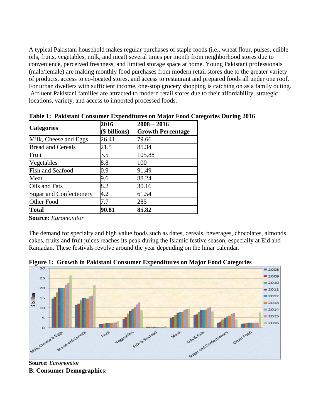A typical Pakistani household makes regular purchases of staple foods (i.e., wheat flour, pulses, edible oils, fruits, vegetables, milk, and meat) several times per month from neighborhood stores due to convenience, perceived freshness, and limited storage space at home. Young Pakistani professionals (male/female) are making monthly food purchases from modern retail stores due to the greater variety of products, access to co-located stores, and access to restaurant and prepared foods all under one roof. For urban dwellers with sufficient income, one-stop grocery shopping is catching on as a family outing. Affluent Pakistani families are attracted to modern retail stores due to their affordability, strategic locations, variety, and access to imported processed foods.

| <b>Categories</b>              | 2016<br>\$ billions) | $2008 - 2016$<br><b>Growth Percentage</b> |  |  |
|--------------------------------|----------------------|-------------------------------------------|--|--|
| Milk, Cheese and Eggs          | 26.41                | 79.66                                     |  |  |
| <b>Bread and Cereals</b>       | 21.5                 | 85.34                                     |  |  |
| Fruit                          | 3.5                  | 105.88                                    |  |  |
| Vegetables                     | 8.8                  | 100                                       |  |  |
| Fish and Seafood               | 0.9                  | 91.49                                     |  |  |
| Meat                           | 9.6                  | 88.24                                     |  |  |
| Oils and Fats                  | 8.2                  | 30.16                                     |  |  |
| <b>Sugar and Confectionery</b> | 4.2                  | 61.54                                     |  |  |
| Other Food                     | 7.7                  | 285                                       |  |  |
| <b>Total</b>                   | 90.81                | 85.82                                     |  |  |

**Table 1: Pakistani Consumer Expenditures on Major Food Categories During 2016**

**Source:** *Euromonitor*

The demand for specialty and high value foods such as dates, cereals, beverages, chocolates, almonds, cakes, fruits and fruit juices reaches its peak during the Islamic festive season, especially at Eid and Ramadan. These festivals revolve around the year depending on the lunar calendar.





**Source:** *Euromonitor* **B. Consumer Demographics:**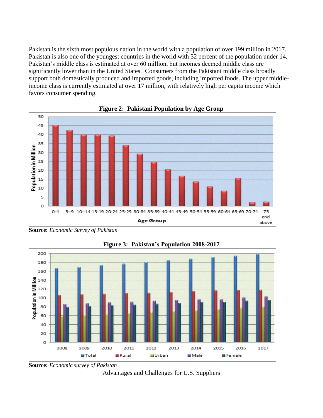Pakistan is the sixth most populous nation in the world with a population of over 199 million in 2017. Pakistan is also one of the youngest countries in the world with 32 percent of the population under 14. Pakistan's middle class is estimated at over 60 million, but incomes deemed middle class are significantly lower than in the United States. Consumers from the Pakistani middle class broadly support both domestically produced and imported goods, including imported foods. The upper middleincome class is currently estimated at over 17 million, with relatively high per capita income which favors consumer spending.





**Source:** *Economic Survey of Pakistan*



**Figure 3: Pakistan's Population 2008-2017**



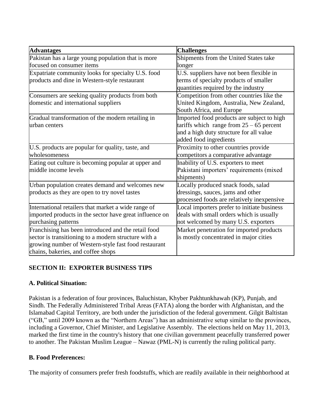| <b>Advantages</b>                                       | <b>Challenges</b>                                                             |
|---------------------------------------------------------|-------------------------------------------------------------------------------|
| Pakistan has a large young population that is more      | Shipments from the United States take                                         |
| focused on consumer items                               | longer                                                                        |
| Expatriate community looks for specialty U.S. food      | U.S. suppliers have not been flexible in                                      |
| products and dine in Western-style restaurant           | terms of specialty products of smaller<br>quantities required by the industry |
| Consumers are seeking quality products from both        | Competition from other countries like the                                     |
| domestic and international suppliers                    | United Kingdom, Australia, New Zealand,<br>South Africa, and Europe           |
| Gradual transformation of the modern retailing in       | Imported food products are subject to high                                    |
| urban centers                                           | tariffs which range from $25 - 65$ percent                                    |
|                                                         | and a high duty structure for all value                                       |
|                                                         | added food ingredients                                                        |
| U.S. products are popular for quality, taste, and       | Proximity to other countries provide                                          |
| wholesomeness                                           | competitors a comparative advantage                                           |
| Eating out culture is becoming popular at upper and     | Inability of U.S. exporters to meet                                           |
| middle income levels                                    | Pakistani importers' requirements (mixed                                      |
|                                                         | shipments)                                                                    |
| Urban population creates demand and welcomes new        | Locally produced snack foods, salad                                           |
| products as they are open to try novel tastes           | dressings, sauces, jams and other                                             |
|                                                         | processed foods are relatively inexpensive                                    |
| International retailers that market a wide range of     | Local importers prefer to initiate business                                   |
| imported products in the sector have great influence on | deals with small orders which is usually                                      |
| purchasing patterns                                     | not welcomed by many U.S. exporters                                           |
| Franchising has been introduced and the retail food     | Market penetration for imported products                                      |
| sector is transitioning to a modern structure with a    | is mostly concentrated in major cities                                        |
| growing number of Western-style fast food restaurant    |                                                                               |
| chains, bakeries, and coffee shops                      |                                                                               |

# **SECTION II: EXPORTER BUSINESS TIPS**

# **A. Political Situation:**

Pakistan is a federation of four provinces, Baluchistan, Khyber Pakhtunkhawah (KP), Punjab, and Sindh. The Federally Administered Tribal Areas (FATA) along the border with Afghanistan, and the Islamabad Capital Territory, are both under the jurisdiction of the federal government. Gilgit Baltistan ("GB," until 2009 known as the "Northern Areas") has an administrative setup similar to the provinces, including a Governor, Chief Minister, and Legislative Assembly. The elections held on May 11, 2013, marked the first time in the country's history that one civilian government peacefully transferred power to another. The Pakistan Muslim League – Nawaz (PML-N) is currently the ruling political party.

# **B. Food Preferences:**

The majority of consumers prefer fresh foodstuffs, which are readily available in their neighborhood at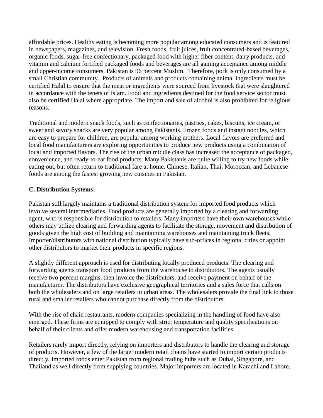affordable prices. Healthy eating is becoming more popular among educated consumers and is featured in newspapers, magazines, and television. Fresh foods, fruit juices, fruit concentrated-based beverages, organic foods, sugar-free confectionary, packaged food with higher fiber content, dairy products, and vitamin and calcium fortified packaged foods and beverages are all gaining acceptance among middle and upper-income consumers. Pakistan is 96 percent Muslim. Therefore, pork is only consumed by a small Christian community. Products of animals and products containing animal ingredients must be certified Halal to ensure that the meat or ingredients were sourced from livestock that were slaughtered in accordance with the tenets of Islam. Food and ingredients destined for the food service sector must also be certified Halal where appropriate. The import and sale of alcohol is also prohibited for religious reasons.

Traditional and modern snack foods, such as confectionaries, pastries, cakes, biscuits, ice cream, or sweet and savory snacks are very popular among Pakistanis. Frozen foods and instant noodles, which are easy to prepare for children, are popular among working mothers. Local flavors are preferred and local food manufacturers are exploring opportunities to produce new products using a combination of local and imported flavors. The rise of the urban middle class has increased the acceptance of packaged, convenience, and ready-to-eat food products. Many Pakistanis are quite willing to try new foods while eating out, but often return to traditional fare at home. Chinese, Italian, Thai, Moroccan, and Lebanese foods are among the fastest growing new cuisines in Pakistan.

## **C. Distribution Systems:**

Pakistan still largely maintains a traditional distribution system for imported food products which involve several intermediaries. Food products are generally imported by a clearing and forwarding agent, who is responsible for distribution to retailers. Many importers have their own warehouses while others may utilize clearing and forwarding agents to facilitate the storage, movement and distribution of goods given the high cost of building and maintaining warehouses and maintaining truck fleets. Importer/distributors with national distribution typically have sub-offices in regional cities or appoint other distributors to market their products in specific regions.

A slightly different approach is used for distributing locally produced products. The clearing and forwarding agents transport food products from the warehouse to distributors. The agents usually receive two percent margins, then invoice the distributors, and receive payment on behalf of the manufacturer. The distributors have exclusive geographical territories and a sales force that calls on both the wholesalers and on large retailers in urban areas. The wholesalers provide the final link to those rural and smaller retailers who cannot purchase directly from the distributors.

With the rise of chain restaurants, modern companies specializing in the handling of food have also emerged. These firms are equipped to comply with strict temperature and quality specifications on behalf of their clients and offer modern warehousing and transportation facilities.

Retailers rarely import directly, relying on importers and distributors to handle the clearing and storage of products. However, a few of the larger modern retail chains have started to import certain products directly. Imported foods enter Pakistan from regional trading hubs such as Dubai, Singapore, and Thailand as well directly from supplying countries. Major importers are located in Karachi and Lahore.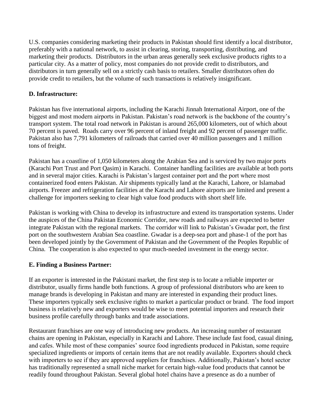U.S. companies considering marketing their products in Pakistan should first identify a local distributor, preferably with a national network, to assist in clearing, storing, transporting, distributing, and marketing their products. Distributors in the urban areas generally seek exclusive products rights to a particular city. As a matter of policy, most companies do not provide credit to distributors, and distributors in turn generally sell on a strictly cash basis to retailers. Smaller distributors often do provide credit to retailers, but the volume of such transactions is relatively insignificant.

# **D. Infrastructure:**

Pakistan has five international airports, including the Karachi Jinnah International Airport, one of the biggest and most modern airports in Pakistan. Pakistan's road network is the backbone of the country's transport system. The total road network in Pakistan is around 265,000 kilometers, out of which about 70 percent is paved. Roads carry over 96 percent of inland freight and 92 percent of passenger traffic. Pakistan also has 7,791 kilometers of railroads that carried over 40 million passengers and 1 million tons of freight.

Pakistan has a coastline of 1,050 kilometers along the Arabian Sea and is serviced by two major ports (Karachi Port Trust and Port Qasim) in Karachi. Container handling facilities are available at both ports and in several major cities. Karachi is Pakistan's largest container port and the port where most containerized food enters Pakistan. Air shipments typically land at the Karachi, Lahore, or Islamabad airports. Freezer and refrigeration facilities at the Karachi and Lahore airports are limited and present a challenge for importers seeking to clear high value food products with short shelf life.

Pakistan is working with China to develop its infrastructure and extend its transportation systems. Under the auspices of the China Pakistan Economic Corridor, new roads and railways are expected to better integrate Pakistan with the regional markets. The corridor will link to Pakistan's Gwadar port, the first port on the southwestern Arabian Sea coastline. Gwadar is a deep-sea port and phase-1 of the port has been developed jointly by the Government of Pakistan and the Government of the Peoples Republic of China. The cooperation is also expected to spur much-needed investment in the energy sector.

# **E. Finding a Business Partner:**

If an exporter is interested in the Pakistani market, the first step is to locate a reliable importer or distributor, usually firms handle both functions. A group of professional distributors who are keen to manage brands is developing in Pakistan and many are interested in expanding their product lines. These importers typically seek exclusive rights to market a particular product or brand. The food import business is relatively new and exporters would be wise to meet potential importers and research their business profile carefully through banks and trade associations.

Restaurant franchises are one way of introducing new products. An increasing number of restaurant chains are opening in Pakistan, especially in Karachi and Lahore. These include fast food, casual dining, and cafes. While most of these companies' source food ingredients produced in Pakistan, some require specialized ingredients or imports of certain items that are not readily available. Exporters should check with importers to see if they are approved suppliers for franchises. Additionally, Pakistan's hotel sector has traditionally represented a small niche market for certain high-value food products that cannot be readily found throughout Pakistan. Several global hotel chains have a presence as do a number of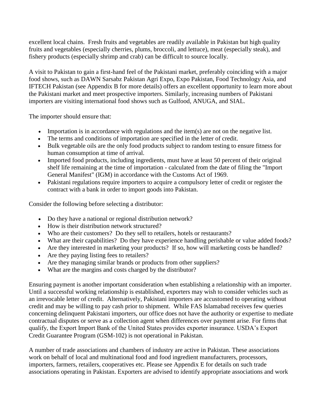excellent local chains. Fresh fruits and vegetables are readily available in Pakistan but high quality fruits and vegetables (especially cherries, plums, broccoli, and lettuce), meat (especially steak), and fishery products (especially shrimp and crab) can be difficult to source locally.

A visit to Pakistan to gain a first-hand feel of the Pakistani market, preferably coinciding with a major food shows, such as DAWN Sarsabz Pakistan Agri Expo, Expo Pakistan, Food Technology Asia, and IFTECH Pakistan (see Appendix B for more details) offers an excellent opportunity to learn more about the Pakistani market and meet prospective importers. Similarly, increasing numbers of Pakistani importers are visiting international food shows such as Gulfood, ANUGA, and SIAL.

The importer should ensure that:

- Importation is in accordance with regulations and the item(s) are not on the negative list.
- The terms and conditions of importation are specified in the letter of credit.
- Bulk vegetable oils are the only food products subject to random testing to ensure fitness for human consumption at time of arrival.
- Imported food products, including ingredients, must have at least 50 percent of their original shelf life remaining at the time of importation - calculated from the date of filing the "Import General Manifest" (IGM) in accordance with the Customs Act of 1969.
- Pakistani regulations require importers to acquire a compulsory letter of credit or register the contract with a bank in order to import goods into Pakistan.

Consider the following before selecting a distributor:

- Do they have a national or regional distribution network?
- How is their distribution network structured?
- Who are their customers? Do they sell to retailers, hotels or restaurants?
- What are their capabilities? Do they have experience handling perishable or value added foods?
- Are they interested in marketing your products? If so, how will marketing costs be handled?
- Are they paying listing fees to retailers?
- Are they managing similar brands or products from other suppliers?
- What are the margins and costs charged by the distributor?

Ensuring payment is another important consideration when establishing a relationship with an importer. Until a successful working relationship is established, exporters may wish to consider vehicles such as an irrevocable letter of credit. Alternatively, Pakistani importers are accustomed to operating without credit and may be willing to pay cash prior to shipment. While FAS Islamabad receives few queries concerning delinquent Pakistani importers, our office does not have the authority or expertise to mediate contractual disputes or serve as a collection agent when differences over payment arise. For firms that qualify, the Export Import Bank of the United States provides exporter insurance. USDA's Export Credit Guarantee Program (GSM-102) is not operational in Pakistan.

A number of trade associations and chambers of industry are active in Pakistan. These associations work on behalf of local and multinational food and food ingredient manufacturers, processors, importers, farmers, retailers, cooperatives etc. Please see Appendix E for details on such trade associations operating in Pakistan. Exporters are advised to identify appropriate associations and work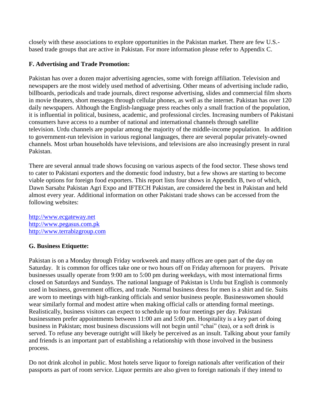closely with these associations to explore opportunities in the Pakistan market. There are few U.S. based trade groups that are active in Pakistan. For more information please refer to Appendix C.

# **F. Advertising and Trade Promotion:**

Pakistan has over a dozen major advertising agencies, some with foreign affiliation. Television and newspapers are the most widely used method of advertising. Other means of advertising include radio, billboards, periodicals and trade journals, direct response advertising, slides and commercial film shorts in movie theaters, short messages through cellular phones, as well as the internet. Pakistan has over 120 daily newspapers. Although the English-language press reaches only a small fraction of the population, it is influential in political, business, academic, and professional circles. Increasing numbers of Pakistani consumers have access to a number of national and international channels through satellite television. Urdu channels are popular among the majority of the middle-income population. In addition to government-run television in various regional languages, there are several popular privately-owned channels. Most urban households have televisions, and televisions are also increasingly present in rural Pakistan.

There are several annual trade shows focusing on various aspects of the food sector. These shows tend to cater to Pakistani exporters and the domestic food industry, but a few shows are starting to become viable options for foreign food exporters. This report lists four shows in Appendix B, two of which, Dawn Sarsabz Pakistan Agri Expo and IFTECH Pakistan, are considered the best in Pakistan and held almost every year. Additional information on other Pakistani trade shows can be accessed from the following websites:

[http://www.ecgateway.net](http://www.ecgateway.net/) [http://www.pegasus.com.pk](http://www.pegasus.com.pk/) [http://www.terrabizgroup.com](http://www.terrabizgroup.com/)

# **G. Business Etiquette:**

Pakistan is on a Monday through Friday workweek and many offices are open part of the day on Saturday. It is common for offices take one or two hours off on Friday afternoon for prayers. Private businesses usually operate from 9:00 am to 5:00 pm during weekdays, with most international firms closed on Saturdays and Sundays. The national language of Pakistan is Urdu but English is commonly used in business, government offices, and trade. Normal business dress for men is a shirt and tie. Suits are worn to meetings with high-ranking officials and senior business people. Businesswomen should wear similarly formal and modest attire when making official calls or attending formal meetings. Realistically, business visitors can expect to schedule up to four meetings per day. Pakistani businessmen prefer appointments between 11:00 am and 5:00 pm. Hospitality is a key part of doing business in Pakistan; most business discussions will not begin until "chai" (tea), or a soft drink is served. To refuse any beverage outright will likely be perceived as an insult. Talking about your family and friends is an important part of establishing a relationship with those involved in the business process.

Do not drink alcohol in public. Most hotels serve liquor to foreign nationals after verification of their passports as part of room service. Liquor permits are also given to foreign nationals if they intend to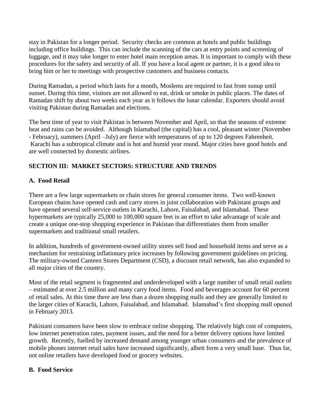stay in Pakistan for a longer period. Security checks are common at hotels and public buildings including office buildings. This can include the scanning of the cars at entry points and screening of luggage, and it may take longer to enter hotel main reception areas. It is important to comply with these procedures for the safety and security of all. If you have a local agent or partner, it is a good idea to bring him or her to meetings with prospective customers and business contacts.

During Ramadan, a period which lasts for a month, Moslems are required to fast from sunup until sunset. During this time, visitors are not allowed to eat, drink or smoke in public places. The dates of Ramadan shift by about two weeks each year as it follows the lunar calendar. Exporters should avoid visiting Pakistan during Ramadan and elections.

The best time of year to visit Pakistan is between November and April, so that the seasons of extreme heat and rains can be avoided. Although Islamabad (the capital) has a cool, pleasant winter (November - February), summers (April –July) are fierce with temperatures of up to 120 degrees Fahrenheit. Karachi has a subtropical climate and is hot and humid year round. Major cities have good hotels and are well connected by domestic airlines.

# **SECTION III: MARKET SECTORS: STRUCTURE AND TRENDS**

# **A. Food Retail**

There are a few large supermarkets or chain stores for general consumer items. Two well-known European chains have opened cash and carry stores in joint collaboration with Pakistani groups and have opened several self-service outlets in Karachi, Lahore, Faisalabad, and Islamabad. These hypermarkets are typically 25,000 to 100,000 square feet in an effort to take advantage of scale and create a unique one-stop shopping experience in Pakistan that differentiates them from smaller supermarkets and traditional small retailers.

In addition, hundreds of government-owned utility stores sell food and household items and serve as a mechanism for restraining inflationary price increases by following government guidelines on pricing. The military-owned Canteen Stores Department (CSD), a discount retail network, has also expanded to all major cities of the country.

Most of the retail segment is fragmented and underdeveloped with a large number of small retail outlets – estimated at over 2.5 million and many carry food items. Food and beverages account for 60 percent of retail sales. At this time there are less than a dozen shopping malls and they are generally limited to the larger cities of Karachi, Lahore, Faisalabad, and Islamabad. Islamabad's first shopping mall opened in February 2013.

Pakistani consumers have been slow to embrace online shopping. The relatively high cost of computers, low internet penetration rates, payment issues, and the need for a better delivery options have limited growth. Recently, fuelled by increased demand among younger urban consumers and the prevalence of mobile phones internet retail sales have increased significantly, albeit form a very small base. Thus far, not online retailers have developed food or grocery websites.

# **B. Food Service**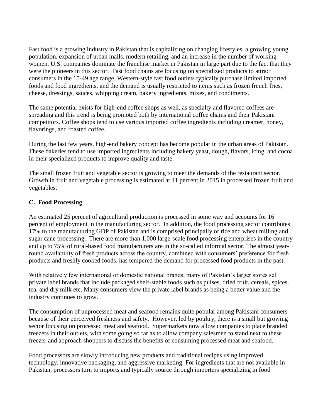Fast food is a growing industry in Pakistan that is capitalizing on changing lifestyles, a growing young population, expansion of urban malls, modern retailing, and an increase in the number of working women. U.S. companies dominate the franchise market in Pakistan in large part due to the fact that they were the pioneers in this sector. Fast food chains are focusing on specialized products to attract consumers in the 15-49 age range. Western-style fast food outlets typically purchase limited imported foods and food ingredients, and the demand is usually restricted to items such as frozen french fries, cheese, dressings, sauces, whipping cream, bakery ingredients, mixes, and condiments.

The same potential exists for high-end coffee shops as well, as specialty and flavored coffees are spreading and this trend is being promoted both by international coffee chains and their Pakistani competitors. Coffee shops tend to use various imported coffee ingredients including creamer, honey, flavorings, and roasted coffee.

During the last few years, high-end bakery concept has become popular in the urban areas of Pakistan. These bakeries tend to use imported ingredients including bakery yeast, dough, flavors, icing, and cocoa in their specialized products to improve quality and taste.

The small frozen fruit and vegetable sector is growing to meet the demands of the restaurant sector. Growth in fruit and vegetable processing is estimated at 11 percent in 2015 in processed frozen fruit and vegetables.

## **C. Food Processing**

An estimated 25 percent of agricultural production is processed in some way and accounts for 16 percent of employment in the manufacturing sector. In addition, the food processing sector contributes 17% to the manufacturing GDP of Pakistan and is comprised principally of rice and wheat milling and sugar cane processing. There are more than 1,000 large-scale food processing enterprises in the country and up to 75% of rural-based food manufacturers are in the so-called informal sector. The almost yearround availability of fresh products across the country, combined with consumers' preference for fresh products and freshly cooked foods, has tempered the demand for processed food products in the past.

With relatively few international or domestic national brands, many of Pakistan's larger stores sell private label brands that include packaged shelf-stable foods such as pulses, dried fruit, cereals, spices, tea, and dry milk etc. Many consumers view the private label brands as being a better value and the industry continues to grow.

The consumption of unprocessed meat and seafood remains quite popular among Pakistani consumers because of their perceived freshness and safety. However, led by poultry, there is a small but growing sector focusing on processed meat and seafood. Supermarkets now allow companies to place branded freezers in their outlets, with some going so far as to allow company salesmen to stand next to these freezer and approach shoppers to discuss the benefits of consuming processed meat and seafood.

Food processors are slowly introducing new products and traditional recipes using improved technology, innovative packaging, and aggressive marketing. For ingredients that are not available in Pakistan, processors turn to imports and typically source through importers specializing in food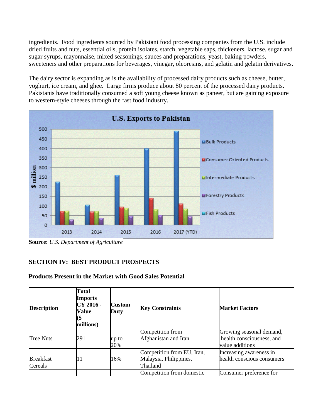ingredients. Food ingredients sourced by Pakistani food processing companies from the U.S. include dried fruits and nuts, essential oils, protein isolates, starch, vegetable saps, thickeners, lactose, sugar and sugar syrups, mayonnaise, mixed seasonings, sauces and preparations, yeast, baking powders, sweeteners and other preparations for beverages, vinegar, oleoresins, and gelatin and gelatin derivatives.

The dairy sector is expanding as is the availability of processed dairy products such as cheese, butter, yoghurt, ice cream, and ghee. Large firms produce about 80 percent of the processed dairy products. Pakistanis have traditionally consumed a soft young cheese known as paneer, but are gaining exposure to western-style cheeses through the fast food industry.



**Source:** *U.S. Department of Agriculture*

# **SECTION IV: BEST PRODUCT PROSPECTS**

#### **Products Present in the Market with Good Sales Potential**

| <b>Description</b>          | Total<br><b>Imports</b><br>CY 2016 -<br><b>Value</b><br>millions) | <b>Custom</b><br>Duty | <b>Key Constraints</b>                                           | <b>Market Factors</b>                                                    |  |
|-----------------------------|-------------------------------------------------------------------|-----------------------|------------------------------------------------------------------|--------------------------------------------------------------------------|--|
| <b>Tree Nuts</b>            | 291                                                               | up to<br>20%          | Competition from<br>Afghanistan and Iran                         | Growing seasonal demand,<br>health consciousness, and<br>value additions |  |
| <b>Breakfast</b><br>Cereals | 11                                                                | 16%                   | Competition from EU, Iran,<br>Malaysia, Philippines,<br>Thailand | Increasing awareness in<br>health conscious consumers                    |  |
|                             |                                                                   |                       | Competition from domestic                                        | Consumer preference for                                                  |  |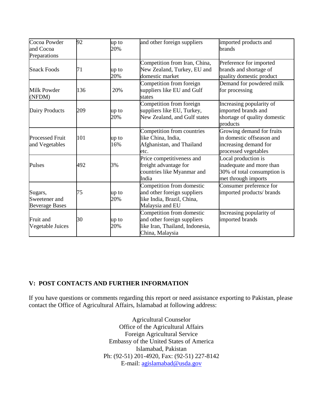| Cocoa Powder<br>and Cocoa<br>Preparations         | 92  | up to<br>20% | and other foreign suppliers                                                                                    | imported products and<br>brands                                                                         |
|---------------------------------------------------|-----|--------------|----------------------------------------------------------------------------------------------------------------|---------------------------------------------------------------------------------------------------------|
| <b>Snack Foods</b>                                | 71  | up to<br>20% | Competition from Iran, China,<br>New Zealand, Turkey, EU and<br>domestic market                                | Preference for imported<br>brands and shortage of<br>quality domestic product                           |
| <b>Milk Powder</b><br>(NFDM)                      | 136 | 20%          | Competition from foreign<br>suppliers like EU and Gulf<br>states                                               | Demand for powdered milk<br>for processing                                                              |
| Dairy Products                                    | 209 | up to<br>20% | Competition from foreign<br>suppliers like EU, Turkey,<br>New Zealand, and Gulf states                         | Increasing popularity of<br>imported brands and<br>shortage of quality domestic<br>products             |
| <b>Processed Fruit</b><br>and Vegetables          | 101 | up to<br>16% | Competition from countries<br>like China, India,<br>Afghanistan, and Thailand<br>etc.                          | Growing demand for fruits<br>in domestic offseason and<br>increasing demand for<br>processed vegetables |
| Pulses                                            | 492 | 3%           | Price competitiveness and<br>freight advantage for<br>countries like Myanmar and<br>India                      | Local production is<br>inadequate and more than<br>30% of total consumption is<br>met through imports   |
| Sugars,<br>Sweetener and<br><b>Beverage Bases</b> | 75  | up to<br>20% | Competition from domestic<br>and other foreign suppliers<br>like India, Brazil, China,<br>Malaysia and EU      | Consumer preference for<br>imported products/ brands                                                    |
| Fruit and<br>Vegetable Juices                     | 30  | up to<br>20% | Competition from domestic<br>and other foreign suppliers<br>like Iran, Thailand, Indonesia,<br>China, Malaysia | Increasing popularity of<br>imported brands                                                             |

# **V: POST CONTACTS AND FURTHER INFORMATION**

If you have questions or comments regarding this report or need assistance exporting to Pakistan, please contact the Office of Agricultural Affairs, Islamabad at following address:

> Agricultural Counselor Office of the Agricultural Affairs Foreign Agricultural Service Embassy of the United States of America Islamabad, Pakistan Ph: (92-51) 201-4920, Fax: (92-51) 227-8142 E-mail: [agislamabad@usda.gov](mailto:agislamabad@usda.gov)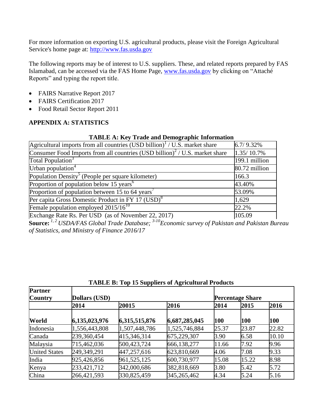For more information on exporting U.S. agricultural products, please visit the Foreign Agricultural Service's home page at: [http://www.fas.usda.gov](http://www.fas.usda.gov/)

The following reports may be of interest to U.S. suppliers. These, and related reports prepared by FAS Islamabad, can be accessed via the FAS Home Page, [www.fas.usda.gov](http://www.fas.usda.gov/) by clicking on "Attaché Reports" and typing the report title.

- FAIRS Narrative Report 2017
- FAIRS Certification 2017
- Food Retail Sector Report 2011

# **APPENDIX A: STATISTICS**

## **TABLE A: Key Trade and Demographic Information**

| Agricultural imports from all countries (USD billion) <sup>1</sup> / U.S. market share  | 6.7/9.32%     |
|-----------------------------------------------------------------------------------------|---------------|
| Consumer Food Imports from all countries (USD billion) <sup>2</sup> / U.S. market share | 1.35/10.7%    |
| Total Population <sup>3</sup>                                                           | 199.1 million |
| Urban population $4$                                                                    | 80.72 million |
| Population Density <sup>5</sup> (People per square kilometer)                           | 166.3         |
| Proportion of population below 15 years <sup>6</sup>                                    | 43.40%        |
| Proportion of population between 15 to 64 years <sup>7</sup>                            | 53.09%        |
| Per capita Gross Domestic Product in FY 17 (USD) <sup>8</sup>                           | 1,629         |
| Female population employed $2015/16^{10}$                                               | 22.2%         |
| Exchange Rate Rs. Per USD (as of November 22, 2017)                                     | 105.09        |

**Source:** *1, 2 USDA/FAS Global Trade Database; 3-10Economic survey of Pakistan and Pakistan Bureau of Statistics, and Ministry of Finance 2016/17*

| <b>Partner</b><br><b>Country</b> | Dollars (USD) |               |               |       | <b>Percentage Share</b> |       |  |
|----------------------------------|---------------|---------------|---------------|-------|-------------------------|-------|--|
|                                  | 2014          | 20015         | 2016          | 2014  | 2015                    | 2016  |  |
| World                            | 6,135,023,976 | 6,315,515,876 | 6,687,285,045 | 100   | 100                     | 100   |  |
| Indonesia                        | 1,556,443,808 | 1,507,448,786 | 1,525,746,884 | 25.37 | 23.87                   | 22.82 |  |
| Canada                           | 239,360,454   | 415,346,314   | 675,229,307   | 3.90  | 6.58                    | 10.10 |  |
| Malaysia                         | 715,462,036   | 500,423,724   | 666,138,277   | 11.66 | 7.92                    | 9.96  |  |
| <b>United States</b>             | 249,349,291   | 447,257,616   | 623,810,669   | 4.06  | 7.08                    | 9.33  |  |
| India                            | 925,426,856   | 961, 525, 125 | 600,730,977   | 15.08 | 15.22                   | 8.98  |  |
| Kenya                            | 233,421,712   | 342,000,686   | 382,818,669   | 3.80  | 5.42                    | 5.72  |  |
| China                            | 266,421,593   | 330,825,459   | 345,265,462   | 4.34  | 5.24                    | 5.16  |  |

**TABLE B: Top 15 Suppliers of Agricultural Products**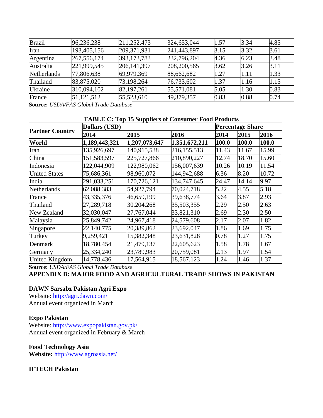| <b>Brazil</b>      | 96,236,238    | 211,252,473   | 324,653,044 | 1.57 | 3.34 | 4.85 |
|--------------------|---------------|---------------|-------------|------|------|------|
| Iran               | 193,405,156   | 209,371,931   | 241,443,897 | 3.15 | 3.32 | 3.61 |
| Argentina          | 267, 556, 174 | 393, 173, 783 | 232,796,204 | 4.36 | 6.23 | 3.48 |
| Australia          | 221,999,545   | 206, 141, 397 | 208,200,565 | 3.62 | 3.26 | 3.11 |
| <b>Netherlands</b> | 77,806,638    | 69,979,369    | 88,662,682  | 1.27 | 1.11 | 1.33 |
| Thailand           | 83,875,020    | 73,198,264    | 76,733,602  | 1.37 | 1.16 | 1.15 |
| Ukraine            | 310,094,102   | 82,197,261    | 55,571,081  | 5.05 | 1.30 | 0.83 |
| France             | 51,121,512    | 55,523,610    | 49,379,357  | 0.83 | 0.88 | 0.74 |

**Source:** *USDA/FAS Global Trade Database*

#### **TABLE C: Top 15 Suppliers of Consumer Food Products**

|                        | $\sim$ . To be published to compared to see<br>Dollars (USD) |               |               |       | <b>Percentage Share</b> |       |  |
|------------------------|--------------------------------------------------------------|---------------|---------------|-------|-------------------------|-------|--|
| <b>Partner Country</b> | 2014                                                         | 2015          | 2016          | 2014  | 2015                    | 2016  |  |
| World                  | 1,189,443,321                                                | 1,207,073,647 | 1,351,672,211 | 100.0 | 100.0                   | 100.0 |  |
| Iran                   | 135,926,697                                                  | 140,915,538   | 216, 155, 513 | 11.43 | 11.67                   | 15.99 |  |
| China                  | 151,583,597                                                  | 225,727,866   | 210,890,227   | 12.74 | 18.70                   | 15.60 |  |
| Indonesia              | 122,044,909                                                  | 122,980,062   | 156,007,639   | 10.26 | 10.19                   | 11.54 |  |
| <b>United States</b>   | 75,686,361                                                   | 98,960,072    | 144,942,688   | 6.36  | 8.20                    | 10.72 |  |
| India                  | 291,033,251                                                  | 170,726,121   | 134,747,645   | 24.47 | 14.14                   | 9.97  |  |
| Netherlands            | 62,088,383                                                   | 54,927,794    | 70,024,718    | 5.22  | 4.55                    | 5.18  |  |
| France                 | 43,335,376                                                   | 46,659,199    | 39,638,774    | 3.64  | 3.87                    | 2.93  |  |
| Thailand               | 27,289,718                                                   | 30,204,268    | 35,503,355    | 2.29  | 2.50                    | 2.63  |  |
| New Zealand            | 32,030,047                                                   | 27,767,044    | 33,821,310    | 2.69  | 2.30                    | 2.50  |  |
| Malaysia               | 25,849,742                                                   | 24,967,418    | 24,579,608    | 2.17  | 2.07                    | 1.82  |  |
| Singapore              | 22,140,775                                                   | 20,389,862    | 23,692,047    | 1.86  | 1.69                    | 1.75  |  |
| Turkey                 | 9,259,421                                                    | 15,382,348    | 23,631,828    | 0.78  | 1.27                    | 1.75  |  |
| Denmark                | 18,780,454                                                   | 21,479,137    | 22,605,623    | 1.58  | 1.78                    | 1.67  |  |
| Germany                | 25,334,240                                                   | 23,789,983    | 20,759,081    | 2.13  | 1.97                    | 1.54  |  |
| <b>United Kingdom</b>  | 14,778,436                                                   | 17,564,915    | 18,567,123    | 1.24  | 1.46                    | 1.37  |  |

**Source:** *USDA/FAS Global Trade Database*

**APPENDIX B: MAJOR FOOD AND AGRICULTURAL TRADE SHOWS IN PAKISTAN**

# **DAWN Sarsabz Pakistan Agri Expo**

Website: <http://agri.dawn.com/> Annual event organized in March

# **Expo Pakistan**

Website: <http://www.expopakistan.gov.pk/> Annual event organized in February & March

# **Food Technology Asia**

**Website:** <http://www.agroasia.net/>

# **IFTECH Pakistan**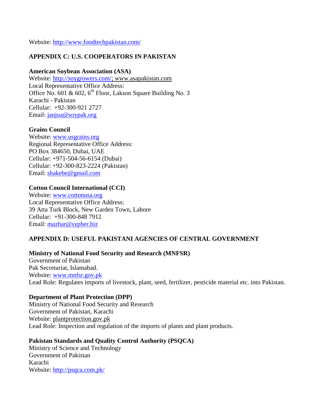Website:<http://www.foodtechpakistan.com/>

# **APPENDIX C: U.S. COOPERATORS IN PAKISTAN**

## **American Soybean Association (ASA)**

Website: [http://soygrowers.com/;](http://soygrowers.com/) www.asapakistan.com Local Representative Office Address: Office No. 601 & 602,  $6^{th}$  Floor, Lakson Square Building No. 3 Karachi - Pakistan Cellular: +92-300-921 2727 Email: [janjua@soypak.org](mailto:janjua@soypak.org)

## **Grains Council**

Website: [www.usgrains.org](http://www.usgrains.org/) Regional Representative Office Address: PO Box 384650, Dubai, UAE Cellular: +971-504-56-6154 (Dubai) Cellular: +92-300-823-2224 (Pakistan) Email: [shakebe@gmail.com](mailto:shakebe@gmail.com)

## **Cotton Council International (CCI)**

Website: [www.cottonusa.org](http://www.cottonusa.org/) Local Representative Office Address: 39 Atta Turk Block, New Garden Town, Lahore Cellular: +91-300-848 7912 Email: [mazhar@sypher.biz](mailto:mazhar@sypher.biz)

# **APPENDIX D: USEFUL PAKISTANI AGENCIES OF CENTRAL GOVERNMENT**

# **Ministry of National Food Security and Research (MNFSR)**

Government of Pakistan Pak Secretariat, Islamabad. Website: [www.mnfsr.gov.pk](http://www.mnfsr.gov.pk/) Lead Role: Regulates imports of livestock, plant, seed, fertilizer, pesticide material etc. into Pakistan.

#### **Department of Plant Protection (DPP)**

Ministry of National Food Security and Research Government of Pakistan, Karachi Website: plantprotection.gov.pk Lead Role: Inspection and regulation of the imports of plants and plant products.

# **Pakistan Standards and Quality Control Authority (PSQCA)**

Ministry of Science and Technology Government of Pakistan Karachi Website:<http://psqca.com.pk/>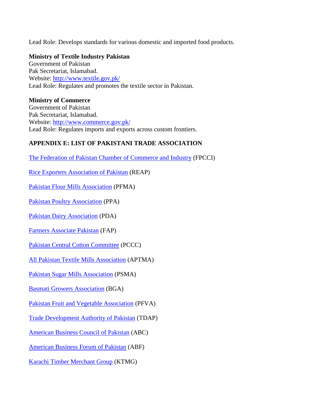Lead Role: Develops standards for various domestic and imported food products.

#### **Ministry of Textile Industry Pakistan**

Government of Pakistan Pak Secretariat, Islamabad. Website:<http://www.textile.gov.pk/> Lead Role: Regulates and promotes the textile sector in Pakistan.

#### **Ministry of Commerce**

Government of Pakistan Pak Secretariat, Islamabad. Website:<http://www.commerce.gov.pk/> Lead Role: Regulates imports and exports across custom frontiers.

# **APPENDIX E: LIST OF PAKISTANI TRADE ASSOCIATION**

[The Federation of Pakistan Chamber of Commerce and Industry](http://fpcci.org.pk/) (FPCCI)

[Rice Exporters Association of Pakistan](http://www.reap.com.pk/) (REAP)

[Pakistan Flour Mills Association](http://pfma.com.pk/pfma/images/registeredwheatbrokers.pdf) (PFMA)

[Pakistan Poultry Association](http://ppacentral.pk/) (PPA)

[Pakistan Dairy Association](http://www.pda.com.pk/) (PDA)

[Farmers Associate Pakistan](http://www.farmersassociates.com/) (FAP)

[Pakistan Central Cotton Committee](http://www.pccc.gov.pk/) (PCCC)

[All Pakistan Textile Mills Association](http://www.aptma.org.pk/) (APTMA)

Pakistan Sugar [Mills Association](http://www.psmacentre.com/) (PSMA)

[Basmati Growers Association](http://basmatigrowers.com/) (BGA)

[Pakistan Fruit and Vegetable Association](http://www.pfva.net/) (PFVA)

[Trade Development Authority of Pakistan](http://www.tdap.gov.pk/trade-bodies.php?id=3&page=3) (TDAP)

[American Business Council of Pakistan](http://www.abcpk.org.pk/) (ABC)

[American Business Forum of Pakistan](http://www.abf.com.pk/) (ABF)

[Karachi Timber Merchant Group](http://www.ktmg.com.pk/) (KTMG)